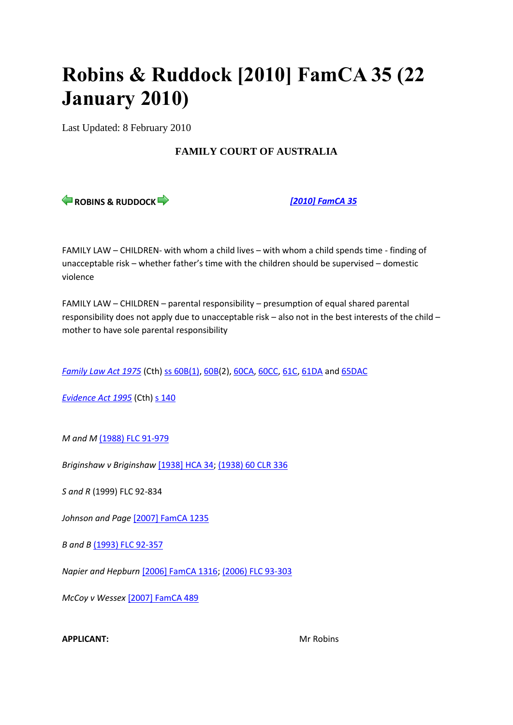# **Robins & Ruddock [2010] FamCA 35 (22 January 2010)**

Last Updated: 8 February 2010

# **FAMILY COURT OF AUSTRALIA**

**ROBINS & RUDDOCK** *[\[2010\] FamCA 35](http://www.austlii.edu.au/cgi-bin/viewdoc/au/cases/cth/FamCA/2010/35.html)*

FAMILY LAW – CHILDREN- with whom a child lives – with whom a child spends time - finding of unacceptable risk – whether father's time with the children should be supervised – domestic violence

FAMILY LAW – CHILDREN – parental responsibility – presumption of equal shared parental responsibility does not apply due to unacceptable risk – also not in the best interests of the child – mother to have sole parental responsibility

*[Family Law Act 1975](http://www.austlii.edu.au/cgi-bin/viewdoc/au/legis/cth/consol_act/fla1975114/)* (Cth) [ss 60B\(1\), 60B\(](http://www.austlii.edu.au/cgi-bin/viewdoc/au/legis/cth/consol_act/fla1975114/s60b.html)2), [60CA,](http://www.austlii.edu.au/cgi-bin/viewdoc/au/legis/cth/consol_act/fla1975114/s60ca.html) [60CC,](http://www.austlii.edu.au/cgi-bin/viewdoc/au/legis/cth/consol_act/fla1975114/s60cc.html) [61C,](http://www.austlii.edu.au/cgi-bin/viewdoc/au/legis/cth/consol_act/fla1975114/s61c.html) [61DA](http://www.austlii.edu.au/cgi-bin/viewdoc/au/legis/cth/consol_act/fla1975114/s61da.html) an[d 65DAC](http://www.austlii.edu.au/cgi-bin/viewdoc/au/legis/cth/consol_act/fla1975114/s65dac.html)

*[Evidence Act 1995](http://www.austlii.edu.au/cgi-bin/viewdoc/au/legis/cth/consol_act/ea199580/)* (Cth) [s 140](http://www.austlii.edu.au/cgi-bin/viewdoc/au/legis/cth/consol_act/ea199580/s140.html)

*M and M* [\(1988\) FLC 91-979](http://www.austlii.edu.au/cgi-bin/LawCite?cit=%281988%29%20FLC%2091%2d979)

*Briginshaw v Briginshaw* [\[1938\] HCA 34;](http://www.austlii.edu.au/cgi-bin/viewdoc/au/cases/cth/HCA/1938/34.html) [\(1938\) 60 CLR](http://www.austlii.edu.au/cgi-bin/LawCite?cit=%281938%29%2060%20CLR%20336) 336

*S and R* (1999) FLC 92-834

*Johnson and Page* [\[2007\] FamCA 1235](http://www.austlii.edu.au/cgi-bin/viewdoc/au/cases/cth/FamCA/2007/1235.html)

*B* and *B* [\(1993\) FLC 92-357](http://www.austlii.edu.au/cgi-bin/LawCite?cit=%281993%29%20FLC%2092%2d357)

*Napier and Hepburn* [\[2006\] FamCA 1316;](http://www.austlii.edu.au/cgi-bin/viewdoc/au/cases/cth/FamCA/2006/1316.html) [\(2006\) FLC 93-303](http://www.austlii.edu.au/cgi-bin/LawCite?cit=%282006%29%20FLC%2093%2d303)

*McCoy v Wessex* [\[2007\] FamCA 489](http://www.austlii.edu.au/cgi-bin/viewdoc/au/cases/cth/FamCA/2007/489.html)

## **APPLICANT:** Mr Robins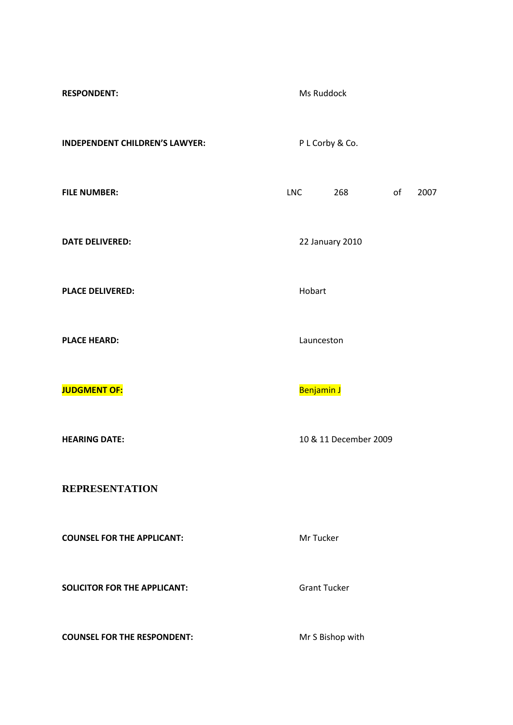| <b>RESPONDENT:</b>                    |                 | Ms Ruddock            |    |      |  |
|---------------------------------------|-----------------|-----------------------|----|------|--|
| <b>INDEPENDENT CHILDREN'S LAWYER:</b> | P L Corby & Co. |                       |    |      |  |
| <b>FILE NUMBER:</b>                   | <b>LNC</b>      | 268                   | of | 2007 |  |
| <b>DATE DELIVERED:</b>                | 22 January 2010 |                       |    |      |  |
| <b>PLACE DELIVERED:</b>               | Hobart          |                       |    |      |  |
| <b>PLACE HEARD:</b>                   | Launceston      |                       |    |      |  |
| <b>JUDGMENT OF:</b>                   | Benjamin J      |                       |    |      |  |
| <b>HEARING DATE:</b>                  |                 | 10 & 11 December 2009 |    |      |  |
| <b>REPRESENTATION</b>                 |                 |                       |    |      |  |
| <b>COUNSEL FOR THE APPLICANT:</b>     |                 | Mr Tucker             |    |      |  |
| <b>SOLICITOR FOR THE APPLICANT:</b>   |                 | <b>Grant Tucker</b>   |    |      |  |
| <b>COUNSEL FOR THE RESPONDENT:</b>    |                 | Mr S Bishop with      |    |      |  |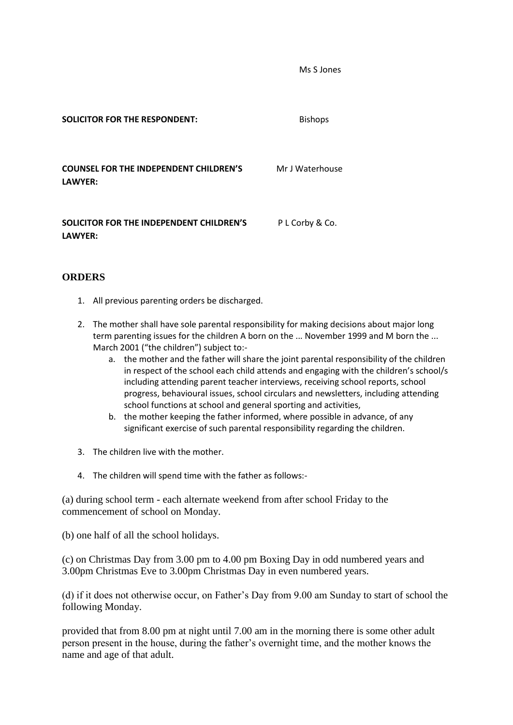Ms S Jones

**SOLICITOR FOR THE RESPONDENT:** Bishops **COUNSEL FOR THE INDEPENDENT CHILDREN'S LAWYER:** Mr J Waterhouse **SOLICITOR FOR THE INDEPENDENT CHILDREN'S LAWYER:** P L Corby & Co.

## **ORDERS**

- 1. All previous parenting orders be discharged.
- 2. The mother shall have sole parental responsibility for making decisions about major long term parenting issues for the children A born on the ... November 1999 and M born the ... March 2001 ("the children") subject to:
	- a. the mother and the father will share the joint parental responsibility of the children in respect of the school each child attends and engaging with the children's school/s including attending parent teacher interviews, receiving school reports, school progress, behavioural issues, school circulars and newsletters, including attending school functions at school and general sporting and activities,
	- b. the mother keeping the father informed, where possible in advance, of any significant exercise of such parental responsibility regarding the children.
- 3. The children live with the mother.
- 4. The children will spend time with the father as follows:-

(a) during school term - each alternate weekend from after school Friday to the commencement of school on Monday.

(b) one half of all the school holidays.

(c) on Christmas Day from 3.00 pm to 4.00 pm Boxing Day in odd numbered years and 3.00pm Christmas Eve to 3.00pm Christmas Day in even numbered years.

(d) if it does not otherwise occur, on Father's Day from 9.00 am Sunday to start of school the following Monday.

provided that from 8.00 pm at night until 7.00 am in the morning there is some other adult person present in the house, during the father's overnight time, and the mother knows the name and age of that adult.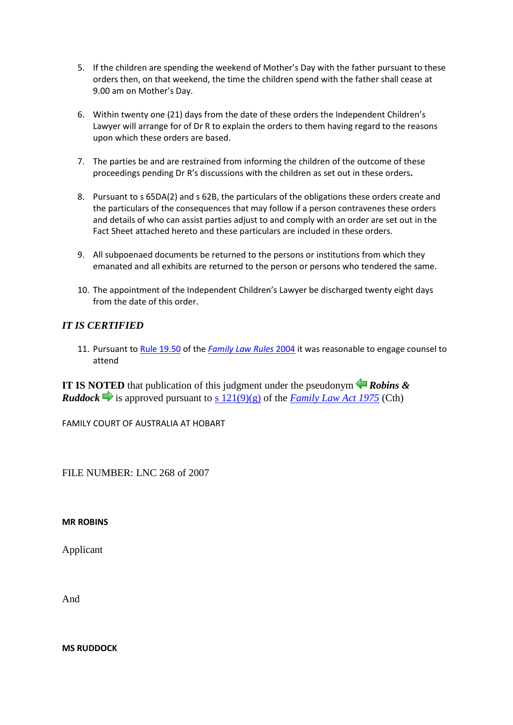- 5. If the children are spending the weekend of Mother's Day with the father pursuant to these orders then, on that weekend, the time the children spend with the father shall cease at 9.00 am on Mother's Day.
- 6. Within twenty one (21) days from the date of these orders the Independent Children's Lawyer will arrange for of Dr R to explain the orders to them having regard to the reasons upon which these orders are based.
- 7. The parties be and are restrained from informing the children of the outcome of these proceedings pending Dr R's discussions with the children as set out in these orders**.**
- 8. Pursuant to s 65DA(2) and s 62B, the particulars of the obligations these orders create and the particulars of the consequences that may follow if a person contravenes these orders and details of who can assist parties adjust to and comply with an order are set out in the Fact Sheet attached hereto and these particulars are included in these orders.
- 9. All subpoenaed documents be returned to the persons or institutions from which they emanated and all exhibits are returned to the person or persons who tendered the same.
- 10. The appointment of the Independent Children's Lawyer be discharged twenty eight days from the date of this order.

# *IT IS CERTIFIED*

11. Pursuant t[o Rule 19.50](http://www.austlii.edu.au/cgi-bin/viewdoc/au/legis/cth/consol_reg/flr2004163/s19.50.html) of the *[Family Law Rules](http://www.austlii.edu.au/cgi-bin/viewdoc/au/legis/cth/consol_reg/flr2004163/)* [2004](http://www.austlii.edu.au/cgi-bin/viewdoc/au/legis/cth/consol_reg/flr2004163/) it was reasonable to engage counsel to attend

**IT IS NOTED** that publication of this judgment under the pseudonym *Robins & Ruddock* is approved pursuant to s  $\frac{121(9)(g)}{g}$  of the *[Family Law Act 1975](http://www.austlii.edu.au/cgi-bin/viewdoc/au/legis/cth/consol_act/fla1975114/)* (Cth)

FAMILY COURT OF AUSTRALIA AT HOBART

FILE NUMBER: LNC 268 of 2007

**MR ROBINS** 

Applicant

And

**MS RUDDOCK**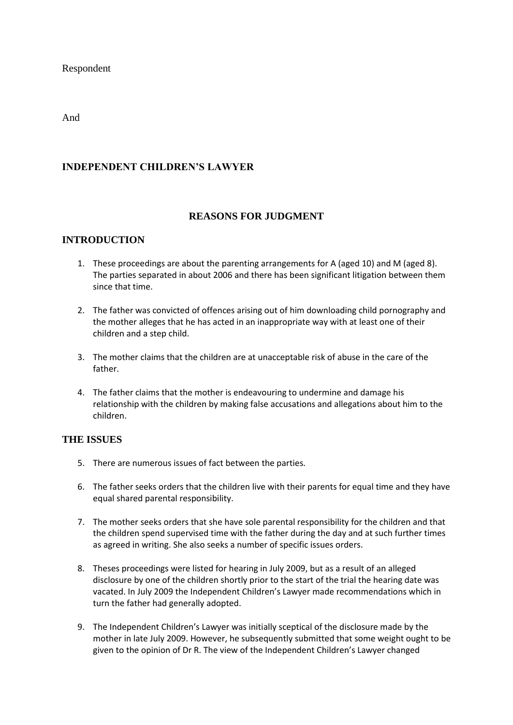Respondent

And

## **INDEPENDENT CHILDREN'S LAWYER**

## **REASONS FOR JUDGMENT**

## **INTRODUCTION**

- 1. These proceedings are about the parenting arrangements for A (aged 10) and M (aged 8). The parties separated in about 2006 and there has been significant litigation between them since that time.
- 2. The father was convicted of offences arising out of him downloading child pornography and the mother alleges that he has acted in an inappropriate way with at least one of their children and a step child.
- 3. The mother claims that the children are at unacceptable risk of abuse in the care of the father.
- 4. The father claims that the mother is endeavouring to undermine and damage his relationship with the children by making false accusations and allegations about him to the children.

## **THE ISSUES**

- 5. There are numerous issues of fact between the parties.
- 6. The father seeks orders that the children live with their parents for equal time and they have equal shared parental responsibility.
- 7. The mother seeks orders that she have sole parental responsibility for the children and that the children spend supervised time with the father during the day and at such further times as agreed in writing. She also seeks a number of specific issues orders.
- 8. Theses proceedings were listed for hearing in July 2009, but as a result of an alleged disclosure by one of the children shortly prior to the start of the trial the hearing date was vacated. In July 2009 the Independent Children's Lawyer made recommendations which in turn the father had generally adopted.
- 9. The Independent Children's Lawyer was initially sceptical of the disclosure made by the mother in late July 2009. However, he subsequently submitted that some weight ought to be given to the opinion of Dr R. The view of the Independent Children's Lawyer changed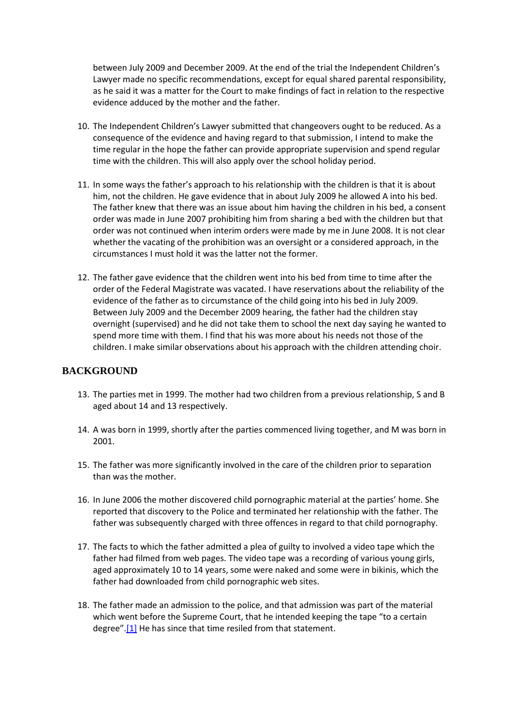between July 2009 and December 2009. At the end of the trial the Independent Children's Lawyer made no specific recommendations, except for equal shared parental responsibility, as he said it was a matter for the Court to make findings of fact in relation to the respective evidence adduced by the mother and the father.

- 10. The Independent Children's Lawyer submitted that changeovers ought to be reduced. As a consequence of the evidence and having regard to that submission, I intend to make the time regular in the hope the father can provide appropriate supervision and spend regular time with the children. This will also apply over the school holiday period.
- 11. In some ways the father's approach to his relationship with the children is that it is about him, not the children. He gave evidence that in about July 2009 he allowed A into his bed. The father knew that there was an issue about him having the children in his bed, a consent order was made in June 2007 prohibiting him from sharing a bed with the children but that order was not continued when interim orders were made by me in June 2008. It is not clear whether the vacating of the prohibition was an oversight or a considered approach, in the circumstances I must hold it was the latter not the former.
- 12. The father gave evidence that the children went into his bed from time to time after the order of the Federal Magistrate was vacated. I have reservations about the reliability of the evidence of the father as to circumstance of the child going into his bed in July 2009. Between July 2009 and the December 2009 hearing, the father had the children stay overnight (supervised) and he did not take them to school the next day saying he wanted to spend more time with them. I find that his was more about his needs not those of the children. I make similar observations about his approach with the children attending choir.

## **BACKGROUND**

- 13. The parties met in 1999. The mother had two children from a previous relationship, S and B aged about 14 and 13 respectively.
- 14. A was born in 1999, shortly after the parties commenced living together, and M was born in 2001.
- 15. The father was more significantly involved in the care of the children prior to separation than was the mother.
- 16. In June 2006 the mother discovered child pornographic material at the parties' home. She reported that discovery to the Police and terminated her relationship with the father. The father was subsequently charged with three offences in regard to that child pornography.
- 17. The facts to which the father admitted a plea of guilty to involved a video tape which the father had filmed from web pages. The video tape was a recording of various young girls, aged approximately 10 to 14 years, some were naked and some were in bikinis, which the father had downloaded from child pornographic web sites.
- 18. The father made an admission to the police, and that admission was part of the material which went before the Supreme Court, that he intended keeping the tape "to a certain degree".[\[1\]](http://www.austlii.edu.au/cgi-bin/viewdoc/au/cases/cth/FamCA/2010/35.html?context=1;query=robins%20ruddock;mask_path=#fn1) He has since that time resiled from that statement.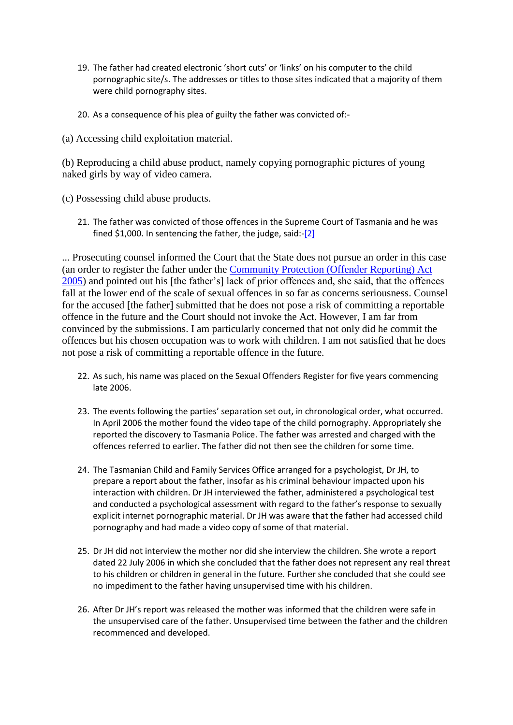- 19. The father had created electronic 'short cuts' or 'links' on his computer to the child pornographic site/s. The addresses or titles to those sites indicated that a majority of them were child pornography sites.
- 20. As a consequence of his plea of guilty the father was convicted of:-
- (a) Accessing child exploitation material.

(b) Reproducing a child abuse product, namely copying pornographic pictures of young naked girls by way of video camera.

- (c) Possessing child abuse products.
	- 21. The father was convicted of those offences in the Supreme Court of Tasmania and he was fined \$1,000. In sentencing the father, the judge, said:[-\[2\]](http://www.austlii.edu.au/cgi-bin/viewdoc/au/cases/cth/FamCA/2010/35.html?context=1;query=robins%20ruddock;mask_path=#fn2)

... Prosecuting counsel informed the Court that the State does not pursue an order in this case (an order to register the father under the [Community Protection \(Offender Reporting\) Act](http://www.austlii.edu.au/cgi-bin/viewdoc/au/legis/tas/consol_act/cpra2005448/)  [2005\)](http://www.austlii.edu.au/cgi-bin/viewdoc/au/legis/tas/consol_act/cpra2005448/) and pointed out his [the father's] lack of prior offences and, she said, that the offences fall at the lower end of the scale of sexual offences in so far as concerns seriousness. Counsel for the accused [the father] submitted that he does not pose a risk of committing a reportable offence in the future and the Court should not invoke the Act. However, I am far from convinced by the submissions. I am particularly concerned that not only did he commit the offences but his chosen occupation was to work with children. I am not satisfied that he does not pose a risk of committing a reportable offence in the future.

- 22. As such, his name was placed on the Sexual Offenders Register for five years commencing late 2006.
- 23. The events following the parties' separation set out, in chronological order, what occurred. In April 2006 the mother found the video tape of the child pornography. Appropriately she reported the discovery to Tasmania Police. The father was arrested and charged with the offences referred to earlier. The father did not then see the children for some time.
- 24. The Tasmanian Child and Family Services Office arranged for a psychologist, Dr JH, to prepare a report about the father, insofar as his criminal behaviour impacted upon his interaction with children. Dr JH interviewed the father, administered a psychological test and conducted a psychological assessment with regard to the father's response to sexually explicit internet pornographic material. Dr JH was aware that the father had accessed child pornography and had made a video copy of some of that material.
- 25. Dr JH did not interview the mother nor did she interview the children. She wrote a report dated 22 July 2006 in which she concluded that the father does not represent any real threat to his children or children in general in the future. Further she concluded that she could see no impediment to the father having unsupervised time with his children.
- 26. After Dr JH's report was released the mother was informed that the children were safe in the unsupervised care of the father. Unsupervised time between the father and the children recommenced and developed.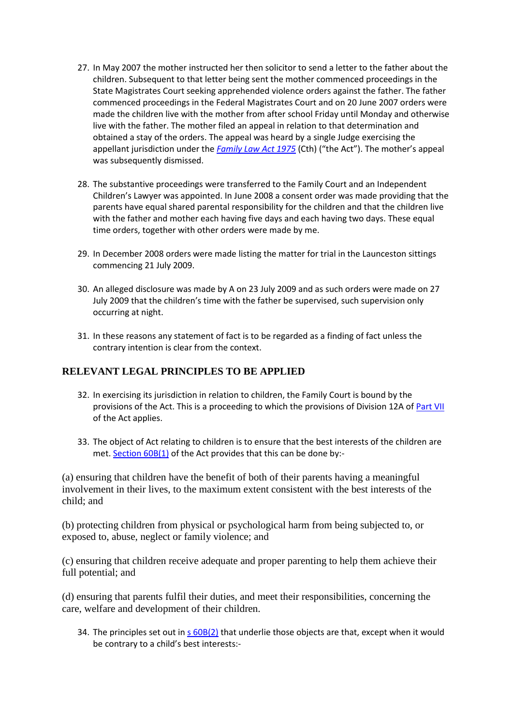- 27. In May 2007 the mother instructed her then solicitor to send a letter to the father about the children. Subsequent to that letter being sent the mother commenced proceedings in the State Magistrates Court seeking apprehended violence orders against the father. The father commenced proceedings in the Federal Magistrates Court and on 20 June 2007 orders were made the children live with the mother from after school Friday until Monday and otherwise live with the father. The mother filed an appeal in relation to that determination and obtained a stay of the orders. The appeal was heard by a single Judge exercising the appellant jurisdiction under the *[Family Law Act 1975](http://www.austlii.edu.au/cgi-bin/viewdoc/au/legis/cth/consol_act/fla1975114/)* (Cth) ("the Act"). The mother's appeal was subsequently dismissed.
- 28. The substantive proceedings were transferred to the Family Court and an Independent Children's Lawyer was appointed. In June 2008 a consent order was made providing that the parents have equal shared parental responsibility for the children and that the children live with the father and mother each having five days and each having two days. These equal time orders, together with other orders were made by me.
- 29. In December 2008 orders were made listing the matter for trial in the Launceston sittings commencing 21 July 2009.
- 30. An alleged disclosure was made by A on 23 July 2009 and as such orders were made on 27 July 2009 that the children's time with the father be supervised, such supervision only occurring at night.
- 31. In these reasons any statement of fact is to be regarded as a finding of fact unless the contrary intention is clear from the context.

## **RELEVANT LEGAL PRINCIPLES TO BE APPLIED**

- 32. In exercising its jurisdiction in relation to children, the Family Court is bound by the provisions of the Act. This is a proceeding to which the provisions of Division 12A of [Part VII](http://www.austlii.edu.au/cgi-bin/viewdoc/au/legis/cth/consol_act/fla1975114/index.html#p7) of the Act applies.
- 33. The object of Act relating to children is to ensure that the best interests of the children are met. [Section 60B\(1\)](http://www.austlii.edu.au/cgi-bin/viewdoc/au/legis/cth/consol_act/fla1975114/s60b.html) of the Act provides that this can be done by:-

(a) ensuring that children have the benefit of both of their parents having a meaningful involvement in their lives, to the maximum extent consistent with the best interests of the child; and

(b) protecting children from physical or psychological harm from being subjected to, or exposed to, abuse, neglect or family violence; and

(c) ensuring that children receive adequate and proper parenting to help them achieve their full potential; and

(d) ensuring that parents fulfil their duties, and meet their responsibilities, concerning the care, welfare and development of their children.

34. The principles set out in [s 60B\(2\)](http://www.austlii.edu.au/cgi-bin/viewdoc/au/legis/cth/consol_act/fla1975114/s60b.html) that underlie those objects are that, except when it would be contrary to a child's best interests:-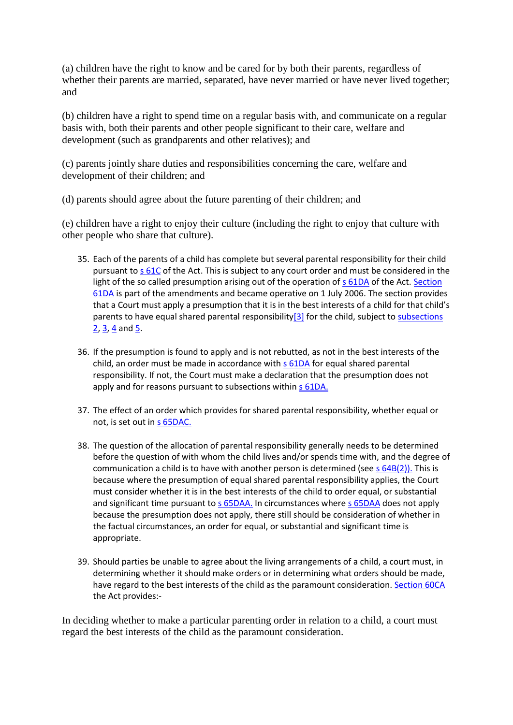(a) children have the right to know and be cared for by both their parents, regardless of whether their parents are married, separated, have never married or have never lived together; and

(b) children have a right to spend time on a regular basis with, and communicate on a regular basis with, both their parents and other people significant to their care, welfare and development (such as grandparents and other relatives); and

(c) parents jointly share duties and responsibilities concerning the care, welfare and development of their children; and

(d) parents should agree about the future parenting of their children; and

(e) children have a right to enjoy their culture (including the right to enjoy that culture with other people who share that culture).

- 35. Each of the parents of a child has complete but several parental responsibility for their child pursuant t[o s 61C](http://www.austlii.edu.au/cgi-bin/viewdoc/au/legis/cth/consol_act/fla1975114/s61c.html) of the Act. This is subject to any court order and must be considered in the light of the so called presumption arising out of the operation of [s 61DA](http://www.austlii.edu.au/cgi-bin/viewdoc/au/legis/cth/consol_act/fla1975114/s61da.html) of the Act. Section [61DA](http://www.austlii.edu.au/cgi-bin/viewdoc/au/legis/cth/consol_act/fla1975114/s61da.html) is part of the amendments and became operative on 1 July 2006. The section provides that a Court must apply a presumption that it is in the best interests of a child for that child's parents to have equal shared parental responsibility[ $3$ ] for the child, subject to subsections  $2, 3, 4$  $2, 3, 4$  $2, 3, 4$  and  $5$ .
- 36. If the presumption is found to apply and is not rebutted, as not in the best interests of the child, an order must be made in accordance wit[h s 61DA](http://www.austlii.edu.au/cgi-bin/viewdoc/au/legis/cth/consol_act/fla1975114/s61da.html) for equal shared parental responsibility. If not, the Court must make a declaration that the presumption does not apply and for reasons pursuant to subsections within [s 61DA.](http://www.austlii.edu.au/cgi-bin/viewdoc/au/legis/cth/consol_act/fla1975114/s61da.html)
- 37. The effect of an order which provides for shared parental responsibility, whether equal or not, is set out in [s 65DAC.](http://www.austlii.edu.au/cgi-bin/viewdoc/au/legis/cth/consol_act/fla1975114/s65dac.html)
- 38. The question of the allocation of parental responsibility generally needs to be determined before the question of with whom the child lives and/or spends time with, and the degree of communication a child is to have with another person is determined (see [s 64B\(2\)\).](http://www.austlii.edu.au/cgi-bin/viewdoc/au/legis/cth/consol_act/fla1975114/s64b.html) This is because where the presumption of equal shared parental responsibility applies, the Court must consider whether it is in the best interests of the child to order equal, or substantial and significant time pursuant to [s 65DAA.](http://www.austlii.edu.au/cgi-bin/viewdoc/au/legis/cth/consol_act/fla1975114/s65daa.html) In circumstances where [s 65DAA](http://www.austlii.edu.au/cgi-bin/viewdoc/au/legis/cth/consol_act/fla1975114/s65daa.html) does not apply because the presumption does not apply, there still should be consideration of whether in the factual circumstances, an order for equal, or substantial and significant time is appropriate.
- 39. Should parties be unable to agree about the living arrangements of a child, a court must, in determining whether it should make orders or in determining what orders should be made, have regard to the best interests of the child as the paramount consideration[. Section 60CA](http://www.austlii.edu.au/cgi-bin/viewdoc/au/legis/cth/consol_act/fla1975114/s60ca.html) the Act provides:-

In deciding whether to make a particular parenting order in relation to a child, a court must regard the best interests of the child as the paramount consideration.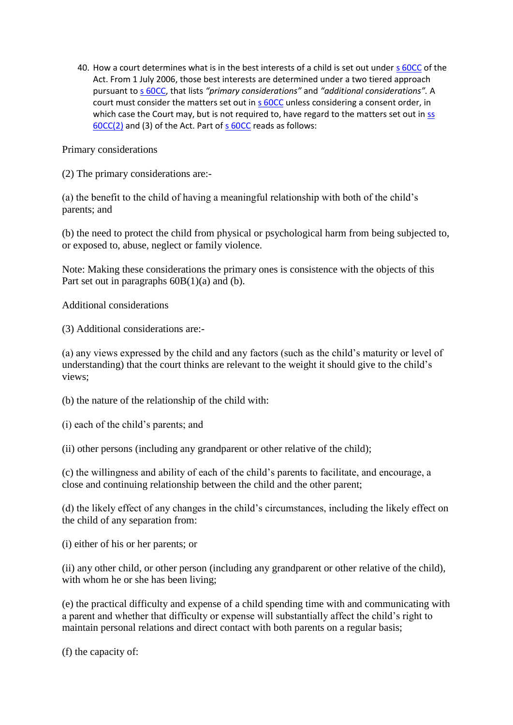40. How a court determines what is in the best interests of a child is set out under [s 60CC](http://www.austlii.edu.au/cgi-bin/viewdoc/au/legis/cth/consol_act/fla1975114/s60cc.html) of the Act. From 1 July 2006, those best interests are determined under a two tiered approach pursuant t[o s 60CC,](http://www.austlii.edu.au/cgi-bin/viewdoc/au/legis/cth/consol_act/fla1975114/s60cc.html) that lists *"primary considerations"* and *"additional considerations".* A court must consider the matters set out in [s 60CC](http://www.austlii.edu.au/cgi-bin/viewdoc/au/legis/cth/consol_act/fla1975114/s60cc.html) unless considering a consent order, in which case the Court may, but is not required to, have regard to the matters set out in  $ss$ [60CC\(2\)](http://www.austlii.edu.au/cgi-bin/viewdoc/au/legis/cth/consol_act/fla1975114/s60cc.html) and (3) of the Act. Part of [s 60CC](http://www.austlii.edu.au/cgi-bin/viewdoc/au/legis/cth/consol_act/fla1975114/s60cc.html) reads as follows:

Primary considerations

(2) The primary considerations are:-

(a) the benefit to the child of having a meaningful relationship with both of the child's parents; and

(b) the need to protect the child from physical or psychological harm from being subjected to, or exposed to, abuse, neglect or family violence.

Note: Making these considerations the primary ones is consistence with the objects of this Part set out in paragraphs 60B(1)(a) and (b).

Additional considerations

(3) Additional considerations are:-

(a) any views expressed by the child and any factors (such as the child's maturity or level of understanding) that the court thinks are relevant to the weight it should give to the child's views;

(b) the nature of the relationship of the child with:

(i) each of the child's parents; and

(ii) other persons (including any grandparent or other relative of the child);

(c) the willingness and ability of each of the child's parents to facilitate, and encourage, a close and continuing relationship between the child and the other parent;

(d) the likely effect of any changes in the child's circumstances, including the likely effect on the child of any separation from:

(i) either of his or her parents; or

(ii) any other child, or other person (including any grandparent or other relative of the child), with whom he or she has been living;

(e) the practical difficulty and expense of a child spending time with and communicating with a parent and whether that difficulty or expense will substantially affect the child's right to maintain personal relations and direct contact with both parents on a regular basis;

(f) the capacity of: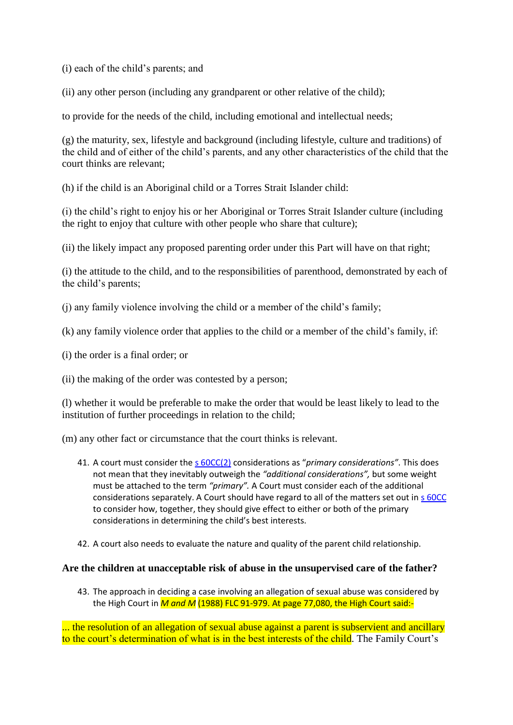(i) each of the child's parents; and

(ii) any other person (including any grandparent or other relative of the child);

to provide for the needs of the child, including emotional and intellectual needs;

(g) the maturity, sex, lifestyle and background (including lifestyle, culture and traditions) of the child and of either of the child's parents, and any other characteristics of the child that the court thinks are relevant;

(h) if the child is an Aboriginal child or a Torres Strait Islander child:

(i) the child's right to enjoy his or her Aboriginal or Torres Strait Islander culture (including the right to enjoy that culture with other people who share that culture);

(ii) the likely impact any proposed parenting order under this Part will have on that right;

(i) the attitude to the child, and to the responsibilities of parenthood, demonstrated by each of the child's parents;

(j) any family violence involving the child or a member of the child's family;

(k) any family violence order that applies to the child or a member of the child's family, if:

(i) the order is a final order; or

(ii) the making of the order was contested by a person;

(l) whether it would be preferable to make the order that would be least likely to lead to the institution of further proceedings in relation to the child;

(m) any other fact or circumstance that the court thinks is relevant.

- 41. A court must consider the [s 60CC\(2\)](http://www.austlii.edu.au/cgi-bin/viewdoc/au/legis/cth/consol_act/fla1975114/s60cc.html) considerations as "*primary considerations"*. This does not mean that they inevitably outweigh the *"additional considerations",* but some weight must be attached to the term *"primary".* A Court must consider each of the additional considerations separately. A Court should have regard to all of the matters set out in [s 60CC](http://www.austlii.edu.au/cgi-bin/viewdoc/au/legis/cth/consol_act/fla1975114/s60cc.html) to consider how, together, they should give effect to either or both of the primary considerations in determining the child's best interests.
- 42. A court also needs to evaluate the nature and quality of the parent child relationship.

## **Are the children at unacceptable risk of abuse in the unsupervised care of the father?**

43. The approach in deciding a case involving an allegation of sexual abuse was considered by the High Court in *M and M* [\(1988\) FLC 91-979.](http://www.austlii.edu.au/cgi-bin/LawCite?cit=%281988%29%20FLC%2091%2d979) At page 77,080, the High Court said:-

... the resolution of an allegation of sexual abuse against a parent is subservient and ancillary to the court's determination of what is in the best interests of the child. The Family Court's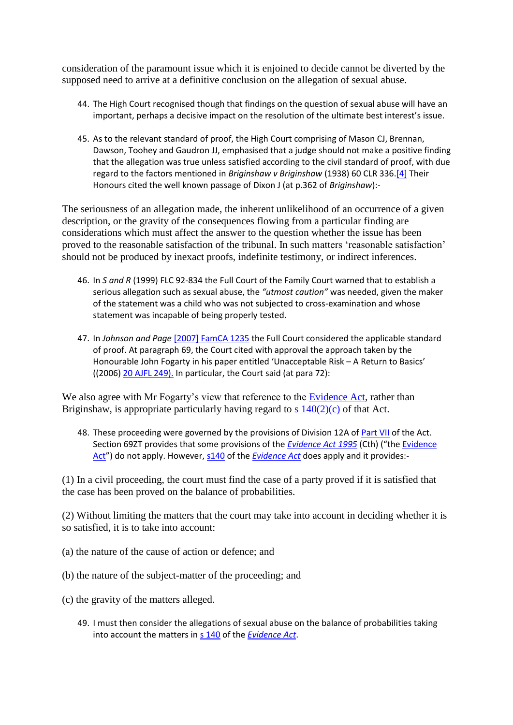consideration of the paramount issue which it is enjoined to decide cannot be diverted by the supposed need to arrive at a definitive conclusion on the allegation of sexual abuse.

- 44. The High Court recognised though that findings on the question of sexual abuse will have an important, perhaps a decisive impact on the resolution of the ultimate best interest's issue.
- 45. As to the relevant standard of proof, the High Court comprising of Mason CJ, Brennan, Dawson, Toohey and Gaudron JJ, emphasised that a judge should not make a positive finding that the allegation was true unless satisfied according to the civil standard of proof, with due regard to the factors mentioned in *Briginshaw v Briginshaw* (1938) 60 CLR 336[.\[4\]](http://www.austlii.edu.au/cgi-bin/viewdoc/au/cases/cth/FamCA/2010/35.html?context=1;query=robins%20ruddock;mask_path=#fn4) Their Honours cited the well known passage of Dixon J (at p.362 of *Briginshaw*):-

The seriousness of an allegation made, the inherent unlikelihood of an occurrence of a given description, or the gravity of the consequences flowing from a particular finding are considerations which must affect the answer to the question whether the issue has been proved to the reasonable satisfaction of the tribunal. In such matters 'reasonable satisfaction' should not be produced by inexact proofs, indefinite testimony, or indirect inferences.

- 46. In *S and R* (1999) FLC 92-834 the Full Court of the Family Court warned that to establish a serious allegation such as sexual abuse, the *"utmost caution"* was needed, given the maker of the statement was a child who was not subjected to cross-examination and whose statement was incapable of being properly tested.
- 47. In *Johnson and Page* [\[2007\] FamCA 1235](http://www.austlii.edu.au/cgi-bin/viewdoc/au/cases/cth/FamCA/2007/1235.html) the Full Court considered the applicable standard of proof. At paragraph 69, the Court cited with approval the approach taken by the Honourable John Fogarty in his paper entitled 'Unacceptable Risk – A Return to Basics' ((2006) [20 AJFL 249\).](http://www.austlii.edu.au/cgi-bin/LawCite?cit=20%20Australian%20Journal%20of%20Family%20Law%20249) In particular, the Court said (at para 72):

We also agree with Mr Fogarty's view that reference to the [Evidence Act,](http://www.austlii.edu.au/cgi-bin/viewdoc/au/legis/cth/consol_act/ea199580/) rather than Briginshaw, is appropriate particularly having regard to s  $140(2)(c)$  of that Act.

48. These proceeding were governed by the provisions of Division 12A of [Part VII](http://www.austlii.edu.au/cgi-bin/viewdoc/au/legis/cth/consol_act/ea199580/index.html#p7) of the Act. Section 69ZT provides that some provisions of the *[Evidence Act 1995](http://www.austlii.edu.au/cgi-bin/viewdoc/au/legis/cth/consol_act/ea199580/)* (Cth) ("the [Evidence](http://www.austlii.edu.au/cgi-bin/viewdoc/au/legis/cth/consol_act/ea199580/)  [Act](http://www.austlii.edu.au/cgi-bin/viewdoc/au/legis/cth/consol_act/ea199580/)") do not apply. However, [s140](http://www.austlii.edu.au/cgi-bin/viewdoc/au/legis/cth/consol_act/ea199580/s140.html) of the *[Evidence Act](http://www.austlii.edu.au/cgi-bin/viewdoc/au/legis/cth/consol_act/ea199580/)* does apply and it provides:-

(1) In a civil proceeding, the court must find the case of a party proved if it is satisfied that the case has been proved on the balance of probabilities.

(2) Without limiting the matters that the court may take into account in deciding whether it is so satisfied, it is to take into account:

- (a) the nature of the cause of action or defence; and
- (b) the nature of the subject-matter of the proceeding; and
- (c) the gravity of the matters alleged.
	- 49. I must then consider the allegations of sexual abuse on the balance of probabilities taking into account the matters in [s 140](http://www.austlii.edu.au/cgi-bin/viewdoc/au/legis/cth/consol_act/ea199580/s140.html) of the *[Evidence Act](http://www.austlii.edu.au/cgi-bin/viewdoc/au/legis/cth/consol_act/ea199580/)*.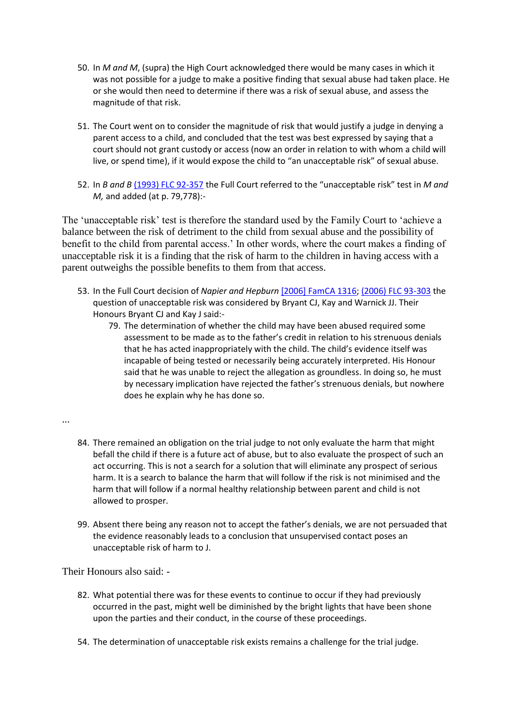- 50. In *M and M*, (supra) the High Court acknowledged there would be many cases in which it was not possible for a judge to make a positive finding that sexual abuse had taken place. He or she would then need to determine if there was a risk of sexual abuse, and assess the magnitude of that risk.
- 51. The Court went on to consider the magnitude of risk that would justify a judge in denying a parent access to a child, and concluded that the test was best expressed by saying that a court should not grant custody or access (now an order in relation to with whom a child will live, or spend time), if it would expose the child to "an unacceptable risk" of sexual abuse.
- 52. In *B and B* [\(1993\) FLC 92-357](http://www.austlii.edu.au/cgi-bin/LawCite?cit=%281993%29%20FLC%2092%2d357) the Full Court referred to the "unacceptable risk" test in *M and M,* and added (at p. 79,778):-

The 'unacceptable risk' test is therefore the standard used by the Family Court to 'achieve a balance between the risk of detriment to the child from sexual abuse and the possibility of benefit to the child from parental access.' In other words, where the court makes a finding of unacceptable risk it is a finding that the risk of harm to the children in having access with a parent outweighs the possible benefits to them from that access.

- 53. In the Full Court decision of *Napier and Hepburn* [\[2006\] FamCA 1316;](http://www.austlii.edu.au/cgi-bin/viewdoc/au/cases/cth/FamCA/2006/1316.html) [\(2006\) FLC 93-303](http://www.austlii.edu.au/cgi-bin/LawCite?cit=%282006%29%20FLC%2093%2d303) the question of unacceptable risk was considered by Bryant CJ, Kay and Warnick JJ. Their Honours Bryant CJ and Kay J said:-
	- 79. The determination of whether the child may have been abused required some assessment to be made as to the father's credit in relation to his strenuous denials that he has acted inappropriately with the child. The child's evidence itself was incapable of being tested or necessarily being accurately interpreted. His Honour said that he was unable to reject the allegation as groundless. In doing so, he must by necessary implication have rejected the father's strenuous denials, but nowhere does he explain why he has done so.
- ...
- 84. There remained an obligation on the trial judge to not only evaluate the harm that might befall the child if there is a future act of abuse, but to also evaluate the prospect of such an act occurring. This is not a search for a solution that will eliminate any prospect of serious harm. It is a search to balance the harm that will follow if the risk is not minimised and the harm that will follow if a normal healthy relationship between parent and child is not allowed to prosper.
- 99. Absent there being any reason not to accept the father's denials, we are not persuaded that the evidence reasonably leads to a conclusion that unsupervised contact poses an unacceptable risk of harm to J.

Their Honours also said: -

- 82. What potential there was for these events to continue to occur if they had previously occurred in the past, might well be diminished by the bright lights that have been shone upon the parties and their conduct, in the course of these proceedings.
- 54. The determination of unacceptable risk exists remains a challenge for the trial judge.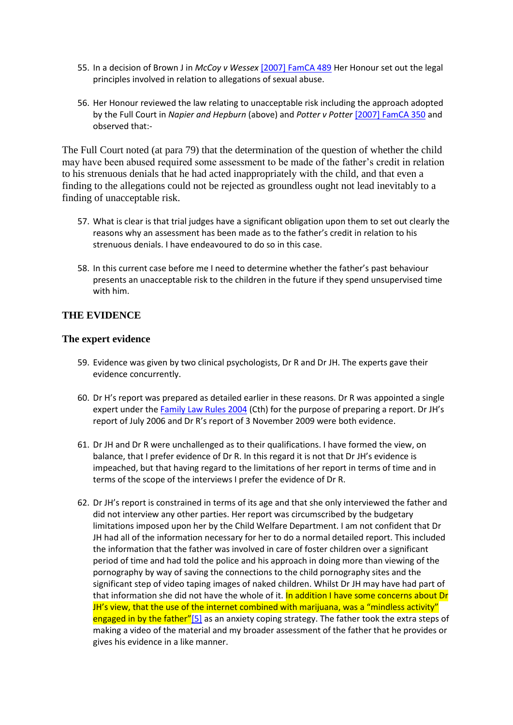- 55. In a decision of Brown J in *McCoy v Wessex* [\[2007\] FamCA 489](http://www.austlii.edu.au/cgi-bin/viewdoc/au/cases/cth/FamCA/2007/489.html) Her Honour set out the legal principles involved in relation to allegations of sexual abuse.
- 56. Her Honour reviewed the law relating to unacceptable risk including the approach adopted by the Full Court in *Napier and Hepburn* (above) and *Potter v Potter* [\[2007\] FamCA 350](http://www.austlii.edu.au/cgi-bin/viewdoc/au/cases/cth/FamCA/2007/350.html) and observed that:-

The Full Court noted (at para 79) that the determination of the question of whether the child may have been abused required some assessment to be made of the father's credit in relation to his strenuous denials that he had acted inappropriately with the child, and that even a finding to the allegations could not be rejected as groundless ought not lead inevitably to a finding of unacceptable risk.

- 57. What is clear is that trial judges have a significant obligation upon them to set out clearly the reasons why an assessment has been made as to the father's credit in relation to his strenuous denials. I have endeavoured to do so in this case.
- 58. In this current case before me I need to determine whether the father's past behaviour presents an unacceptable risk to the children in the future if they spend unsupervised time with him.

## **THE EVIDENCE**

#### **The expert evidence**

- 59. Evidence was given by two clinical psychologists, Dr R and Dr JH. The experts gave their evidence concurrently.
- 60. Dr H's report was prepared as detailed earlier in these reasons. Dr R was appointed a single expert under the [Family Law Rules 2004](http://www.austlii.edu.au/cgi-bin/viewdoc/au/legis/cth/consol_reg/flr2004163/) (Cth) for the purpose of preparing a report. Dr JH's report of July 2006 and Dr R's report of 3 November 2009 were both evidence.
- 61. Dr JH and Dr R were unchallenged as to their qualifications. I have formed the view, on balance, that I prefer evidence of Dr R. In this regard it is not that Dr JH's evidence is impeached, but that having regard to the limitations of her report in terms of time and in terms of the scope of the interviews I prefer the evidence of Dr R.
- 62. Dr JH's report is constrained in terms of its age and that she only interviewed the father and did not interview any other parties. Her report was circumscribed by the budgetary limitations imposed upon her by the Child Welfare Department. I am not confident that Dr JH had all of the information necessary for her to do a normal detailed report. This included the information that the father was involved in care of foster children over a significant period of time and had told the police and his approach in doing more than viewing of the pornography by way of saving the connections to the child pornography sites and the significant step of video taping images of naked children. Whilst Dr JH may have had part of that information she did not have the whole of it. In addition I have some concerns about Dr JH's view, that the use of the internet combined with marijuana, was a "mindless activity" engaged in by the father"[\[5\]](http://www.austlii.edu.au/cgi-bin/viewdoc/au/cases/cth/FamCA/2010/35.html?context=1;query=robins%20ruddock;mask_path=#fn5) as an anxiety coping strategy. The father took the extra steps of making a video of the material and my broader assessment of the father that he provides or gives his evidence in a like manner.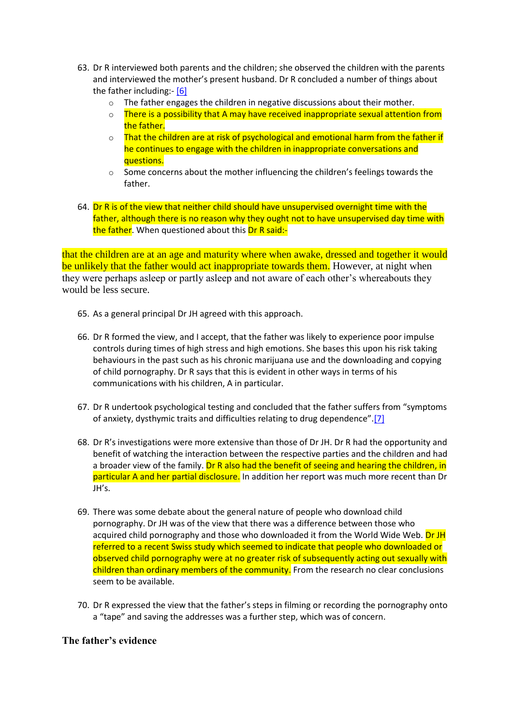- 63. Dr R interviewed both parents and the children; she observed the children with the parents and interviewed the mother's present husband. Dr R concluded a number of things about the father including:- [\[6\]](http://www.austlii.edu.au/cgi-bin/viewdoc/au/cases/cth/FamCA/2010/35.html?context=1;query=robins%20ruddock;mask_path=#fn6)
	- $\circ$  The father engages the children in negative discussions about their mother.
	- $\circ$  There is a possibility that A may have received inappropriate sexual attention from the father.
	- $\circ$  That the children are at risk of psychological and emotional harm from the father if he continues to engage with the children in inappropriate conversations and questions.
	- $\circ$  Some concerns about the mother influencing the children's feelings towards the father.
- 64. Dr R is of the view that neither child should have unsupervised overnight time with the father, although there is no reason why they ought not to have unsupervised day time with the father. When questioned about this Dr R said:-

that the children are at an age and maturity where when awake, dressed and together it would be unlikely that the father would act inappropriate towards them. However, at night when they were perhaps asleep or partly asleep and not aware of each other's whereabouts they would be less secure.

- 65. As a general principal Dr JH agreed with this approach.
- 66. Dr R formed the view, and I accept, that the father was likely to experience poor impulse controls during times of high stress and high emotions. She bases this upon his risk taking behaviours in the past such as his chronic marijuana use and the downloading and copying of child pornography. Dr R says that this is evident in other ways in terms of his communications with his children, A in particular.
- 67. Dr R undertook psychological testing and concluded that the father suffers from "symptoms of anxiety, dysthymic traits and difficulties relating to drug dependence".[\[7\]](http://www.austlii.edu.au/cgi-bin/viewdoc/au/cases/cth/FamCA/2010/35.html?context=1;query=robins%20ruddock;mask_path=#fn7)
- 68. Dr R's investigations were more extensive than those of Dr JH. Dr R had the opportunity and benefit of watching the interaction between the respective parties and the children and had a broader view of the family. Dr R also had the benefit of seeing and hearing the children, in particular A and her partial disclosure. In addition her report was much more recent than Dr JH's.
- 69. There was some debate about the general nature of people who download child pornography. Dr JH was of the view that there was a difference between those who acquired child pornography and those who downloaded it from the World Wide Web. Dr JH referred to a recent Swiss study which seemed to indicate that people who downloaded or observed child pornography were at no greater risk of subsequently acting out sexually with children than ordinary members of the community. From the research no clear conclusions seem to be available.
- 70. Dr R expressed the view that the father's steps in filming or recording the pornography onto a "tape" and saving the addresses was a further step, which was of concern.

## **The father's evidence**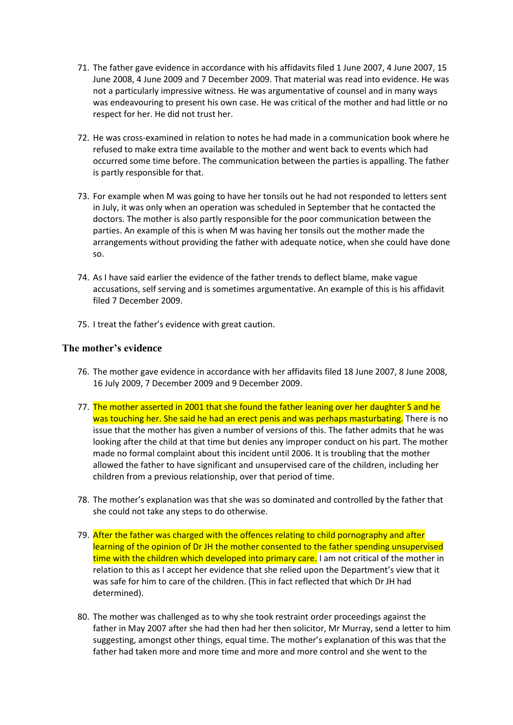- 71. The father gave evidence in accordance with his affidavits filed 1 June 2007, 4 June 2007, 15 June 2008, 4 June 2009 and 7 December 2009. That material was read into evidence. He was not a particularly impressive witness. He was argumentative of counsel and in many ways was endeavouring to present his own case. He was critical of the mother and had little or no respect for her. He did not trust her.
- 72. He was cross-examined in relation to notes he had made in a communication book where he refused to make extra time available to the mother and went back to events which had occurred some time before. The communication between the parties is appalling. The father is partly responsible for that.
- 73. For example when M was going to have her tonsils out he had not responded to letters sent in July, it was only when an operation was scheduled in September that he contacted the doctors. The mother is also partly responsible for the poor communication between the parties. An example of this is when M was having her tonsils out the mother made the arrangements without providing the father with adequate notice, when she could have done so.
- 74. As I have said earlier the evidence of the father trends to deflect blame, make vague accusations, self serving and is sometimes argumentative. An example of this is his affidavit filed 7 December 2009.
- 75. I treat the father's evidence with great caution.

## **The mother's evidence**

- 76. The mother gave evidence in accordance with her affidavits filed 18 June 2007, 8 June 2008, 16 July 2009, 7 December 2009 and 9 December 2009.
- 77. The mother asserted in 2001 that she found the father leaning over her daughter S and he was touching her. She said he had an erect penis and was perhaps masturbating. There is no issue that the mother has given a number of versions of this. The father admits that he was looking after the child at that time but denies any improper conduct on his part. The mother made no formal complaint about this incident until 2006. It is troubling that the mother allowed the father to have significant and unsupervised care of the children, including her children from a previous relationship, over that period of time.
- 78. The mother's explanation was that she was so dominated and controlled by the father that she could not take any steps to do otherwise.
- 79. After the father was charged with the offences relating to child pornography and after learning of the opinion of Dr JH the mother consented to the father spending unsupervised time with the children which developed into primary care. I am not critical of the mother in relation to this as I accept her evidence that she relied upon the Department's view that it was safe for him to care of the children. (This in fact reflected that which Dr JH had determined).
- 80. The mother was challenged as to why she took restraint order proceedings against the father in May 2007 after she had then had her then solicitor, Mr Murray, send a letter to him suggesting, amongst other things, equal time. The mother's explanation of this was that the father had taken more and more time and more and more control and she went to the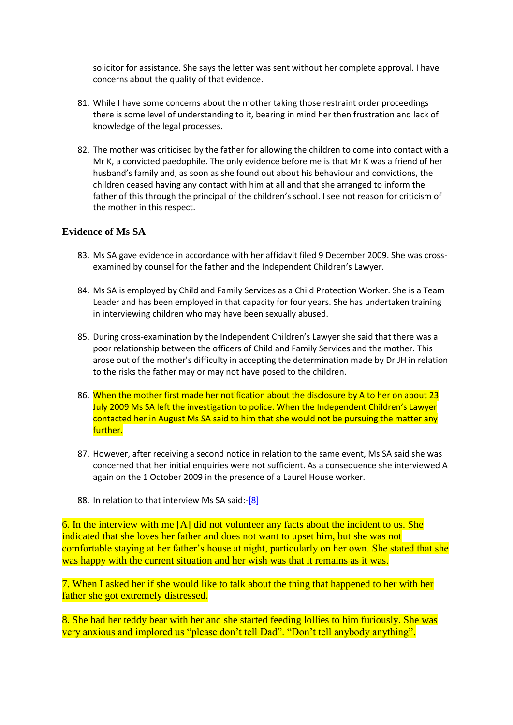solicitor for assistance. She says the letter was sent without her complete approval. I have concerns about the quality of that evidence.

- 81. While I have some concerns about the mother taking those restraint order proceedings there is some level of understanding to it, bearing in mind her then frustration and lack of knowledge of the legal processes.
- 82. The mother was criticised by the father for allowing the children to come into contact with a Mr K, a convicted paedophile. The only evidence before me is that Mr K was a friend of her husband's family and, as soon as she found out about his behaviour and convictions, the children ceased having any contact with him at all and that she arranged to inform the father of this through the principal of the children's school. I see not reason for criticism of the mother in this respect.

## **Evidence of Ms SA**

- 83. Ms SA gave evidence in accordance with her affidavit filed 9 December 2009. She was crossexamined by counsel for the father and the Independent Children's Lawyer.
- 84. Ms SA is employed by Child and Family Services as a Child Protection Worker. She is a Team Leader and has been employed in that capacity for four years. She has undertaken training in interviewing children who may have been sexually abused.
- 85. During cross-examination by the Independent Children's Lawyer she said that there was a poor relationship between the officers of Child and Family Services and the mother. This arose out of the mother's difficulty in accepting the determination made by Dr JH in relation to the risks the father may or may not have posed to the children.
- 86. When the mother first made her notification about the disclosure by A to her on about 23 July 2009 Ms SA left the investigation to police. When the Independent Children's Lawyer contacted her in August Ms SA said to him that she would not be pursuing the matter any further.
- 87. However, after receiving a second notice in relation to the same event, Ms SA said she was concerned that her initial enquiries were not sufficient. As a consequence she interviewed A again on the 1 October 2009 in the presence of a Laurel House worker.
- 88. In relation to that interview Ms SA said:[-\[8\]](http://www.austlii.edu.au/cgi-bin/viewdoc/au/cases/cth/FamCA/2010/35.html?context=1;query=robins%20ruddock;mask_path=#fn8)

6. In the interview with me [A] did not volunteer any facts about the incident to us. She indicated that she loves her father and does not want to upset him, but she was not comfortable staying at her father's house at night, particularly on her own. She stated that she was happy with the current situation and her wish was that it remains as it was.

7. When I asked her if she would like to talk about the thing that happened to her with her father she got extremely distressed.

8. She had her teddy bear with her and she started feeding lollies to him furiously. She was very anxious and implored us "please don't tell Dad". "Don't tell anybody anything".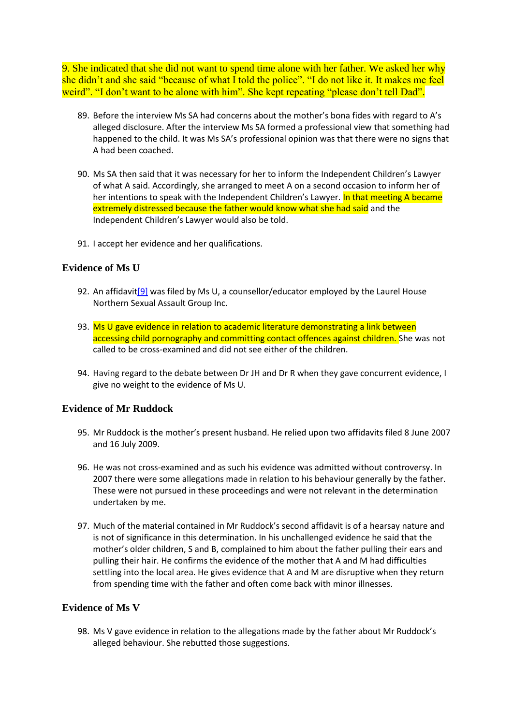9. She indicated that she did not want to spend time alone with her father. We asked her why she didn't and she said "because of what I told the police". "I do not like it. It makes me feel weird". "I don't want to be alone with him". She kept repeating "please don't tell Dad".

- 89. Before the interview Ms SA had concerns about the mother's bona fides with regard to A's alleged disclosure. After the interview Ms SA formed a professional view that something had happened to the child. It was Ms SA's professional opinion was that there were no signs that A had been coached.
- 90. Ms SA then said that it was necessary for her to inform the Independent Children's Lawyer of what A said. Accordingly, she arranged to meet A on a second occasion to inform her of her intentions to speak with the Independent Children's Lawyer. In that meeting A became extremely distressed because the father would know what she had said and the Independent Children's Lawyer would also be told.
- 91. I accept her evidence and her qualifications.

#### **Evidence of Ms U**

- 92. An affidavit<sup>[9]</sup> was filed by Ms U, a counsellor/educator employed by the Laurel House Northern Sexual Assault Group Inc.
- 93. Ms U gave evidence in relation to academic literature demonstrating a link between accessing child pornography and committing contact offences against children. She was not called to be cross-examined and did not see either of the children.
- 94. Having regard to the debate between Dr JH and Dr R when they gave concurrent evidence, I give no weight to the evidence of Ms U.

#### **Evidence of Mr Ruddock**

- 95. Mr Ruddock is the mother's present husband. He relied upon two affidavits filed 8 June 2007 and 16 July 2009.
- 96. He was not cross-examined and as such his evidence was admitted without controversy. In 2007 there were some allegations made in relation to his behaviour generally by the father. These were not pursued in these proceedings and were not relevant in the determination undertaken by me.
- 97. Much of the material contained in Mr Ruddock's second affidavit is of a hearsay nature and is not of significance in this determination. In his unchallenged evidence he said that the mother's older children, S and B, complained to him about the father pulling their ears and pulling their hair. He confirms the evidence of the mother that A and M had difficulties settling into the local area. He gives evidence that A and M are disruptive when they return from spending time with the father and often come back with minor illnesses.

#### **Evidence of Ms V**

98. Ms V gave evidence in relation to the allegations made by the father about Mr Ruddock's alleged behaviour. She rebutted those suggestions.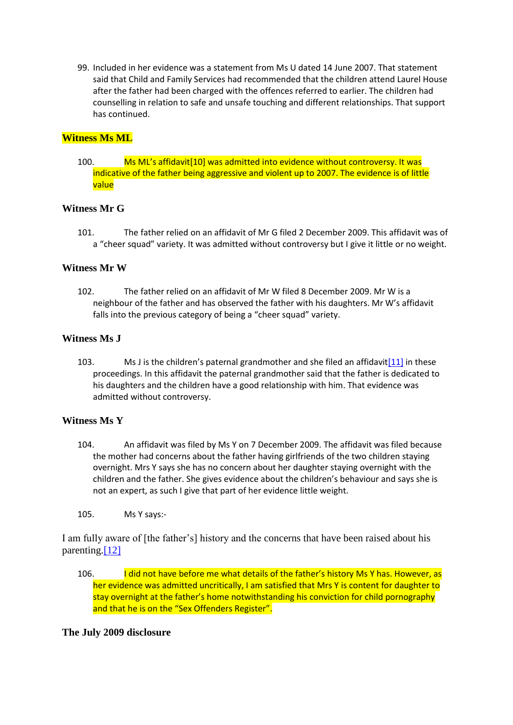99. Included in her evidence was a statement from Ms U dated 14 June 2007. That statement said that Child and Family Services had recommended that the children attend Laurel House after the father had been charged with the offences referred to earlier. The children had counselling in relation to safe and unsafe touching and different relationships. That support has continued.

## **Witness Ms ML**

100. Ms ML's affidavi[t\[10\]](http://www.austlii.edu.au/cgi-bin/viewdoc/au/cases/cth/FamCA/2010/35.html?context=1;query=robins%20ruddock;mask_path=#fn10) was admitted into evidence without controversy. It was indicative of the father being aggressive and violent up to 2007. The evidence is of little value

## **Witness Mr G**

101. The father relied on an affidavit of Mr G filed 2 December 2009. This affidavit was of a "cheer squad" variety. It was admitted without controversy but I give it little or no weight.

## **Witness Mr W**

102. The father relied on an affidavit of Mr W filed 8 December 2009. Mr W is a neighbour of the father and has observed the father with his daughters. Mr W's affidavit falls into the previous category of being a "cheer squad" variety.

## **Witness Ms J**

103. Ms J is the children's paternal grandmother and she filed an affidavit $[11]$  in these proceedings. In this affidavit the paternal grandmother said that the father is dedicated to his daughters and the children have a good relationship with him. That evidence was admitted without controversy.

## **Witness Ms Y**

- 104. An affidavit was filed by Ms Y on 7 December 2009. The affidavit was filed because the mother had concerns about the father having girlfriends of the two children staying overnight. Mrs Y says she has no concern about her daughter staying overnight with the children and the father. She gives evidence about the children's behaviour and says she is not an expert, as such I give that part of her evidence little weight.
- 105. Ms Y says:-

I am fully aware of [the father's] history and the concerns that have been raised about his parenting[.\[12\]](http://www.austlii.edu.au/cgi-bin/viewdoc/au/cases/cth/FamCA/2010/35.html?context=1;query=robins%20ruddock;mask_path=#fn12)

106. I did not have before me what details of the father's history Ms Y has. However, as her evidence was admitted uncritically, I am satisfied that Mrs Y is content for daughter to stay overnight at the father's home notwithstanding his conviction for child pornography and that he is on the "Sex Offenders Register".

## **The July 2009 disclosure**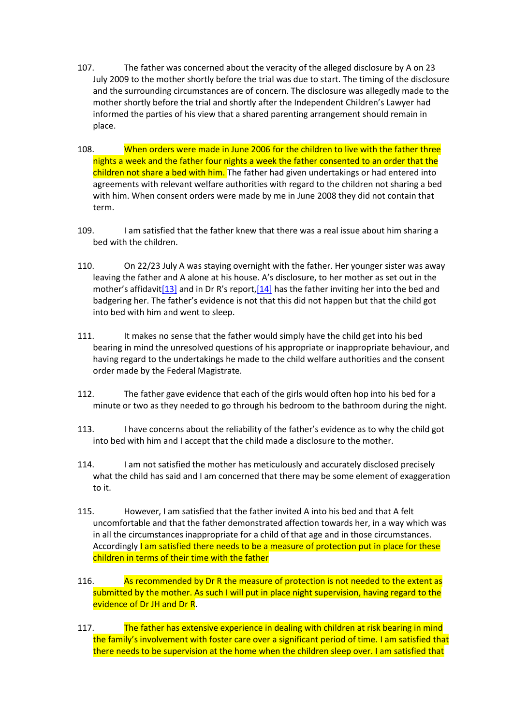- 107. The father was concerned about the veracity of the alleged disclosure by A on 23 July 2009 to the mother shortly before the trial was due to start. The timing of the disclosure and the surrounding circumstances are of concern. The disclosure was allegedly made to the mother shortly before the trial and shortly after the Independent Children's Lawyer had informed the parties of his view that a shared parenting arrangement should remain in place.
- 108. When orders were made in June 2006 for the children to live with the father three nights a week and the father four nights a week the father consented to an order that the children not share a bed with him. The father had given undertakings or had entered into agreements with relevant welfare authorities with regard to the children not sharing a bed with him. When consent orders were made by me in June 2008 they did not contain that term.
- 109. I am satisfied that the father knew that there was a real issue about him sharing a bed with the children.
- 110. On 22/23 July A was staying overnight with the father. Her younger sister was away leaving the father and A alone at his house. A's disclosure, to her mother as set out in the mother's affidavit[\[13\]](http://www.austlii.edu.au/cgi-bin/viewdoc/au/cases/cth/FamCA/2010/35.html?context=1;query=robins%20ruddock;mask_path=#fn13) and in Dr R's report,[\[14\]](http://www.austlii.edu.au/cgi-bin/viewdoc/au/cases/cth/FamCA/2010/35.html?context=1;query=robins%20ruddock;mask_path=#fn14) has the father inviting her into the bed and badgering her. The father's evidence is not that this did not happen but that the child got into bed with him and went to sleep.
- 111. It makes no sense that the father would simply have the child get into his bed bearing in mind the unresolved questions of his appropriate or inappropriate behaviour, and having regard to the undertakings he made to the child welfare authorities and the consent order made by the Federal Magistrate.
- 112. The father gave evidence that each of the girls would often hop into his bed for a minute or two as they needed to go through his bedroom to the bathroom during the night.
- 113. I have concerns about the reliability of the father's evidence as to why the child got into bed with him and I accept that the child made a disclosure to the mother.
- 114. I am not satisfied the mother has meticulously and accurately disclosed precisely what the child has said and I am concerned that there may be some element of exaggeration to it.
- 115. However, I am satisfied that the father invited A into his bed and that A felt uncomfortable and that the father demonstrated affection towards her, in a way which was in all the circumstances inappropriate for a child of that age and in those circumstances. Accordingly I am satisfied there needs to be a measure of protection put in place for these children in terms of their time with the father
- 116. As recommended by Dr R the measure of protection is not needed to the extent as submitted by the mother. As such I will put in place night supervision, having regard to the evidence of Dr JH and Dr R.
- 117. The father has extensive experience in dealing with children at risk bearing in mind the family's involvement with foster care over a significant period of time. I am satisfied that there needs to be supervision at the home when the children sleep over. I am satisfied that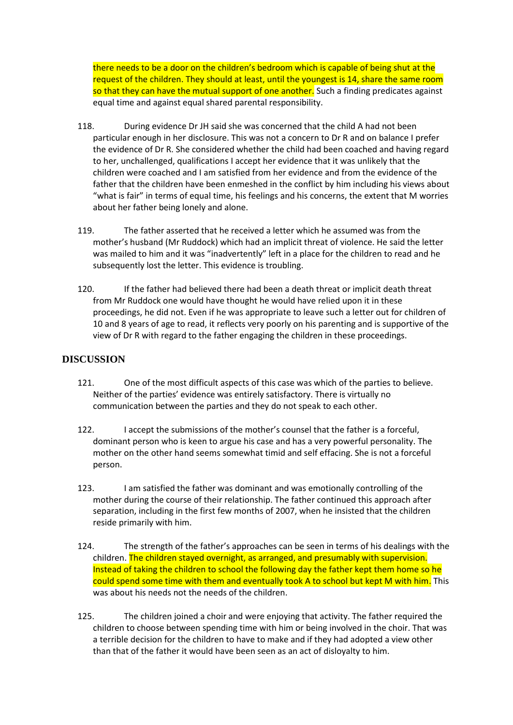there needs to be a door on the children's bedroom which is capable of being shut at the request of the children. They should at least, until the youngest is 14, share the same room so that they can have the mutual support of one another. Such a finding predicates against equal time and against equal shared parental responsibility.

- 118. During evidence Dr JH said she was concerned that the child A had not been particular enough in her disclosure. This was not a concern to Dr R and on balance I prefer the evidence of Dr R. She considered whether the child had been coached and having regard to her, unchallenged, qualifications I accept her evidence that it was unlikely that the children were coached and I am satisfied from her evidence and from the evidence of the father that the children have been enmeshed in the conflict by him including his views about "what is fair" in terms of equal time, his feelings and his concerns, the extent that M worries about her father being lonely and alone.
- 119. The father asserted that he received a letter which he assumed was from the mother's husband (Mr Ruddock) which had an implicit threat of violence. He said the letter was mailed to him and it was "inadvertently" left in a place for the children to read and he subsequently lost the letter. This evidence is troubling.
- 120. If the father had believed there had been a death threat or implicit death threat from Mr Ruddock one would have thought he would have relied upon it in these proceedings, he did not. Even if he was appropriate to leave such a letter out for children of 10 and 8 years of age to read, it reflects very poorly on his parenting and is supportive of the view of Dr R with regard to the father engaging the children in these proceedings.

## **DISCUSSION**

- 121. One of the most difficult aspects of this case was which of the parties to believe. Neither of the parties' evidence was entirely satisfactory. There is virtually no communication between the parties and they do not speak to each other.
- 122. I accept the submissions of the mother's counsel that the father is a forceful, dominant person who is keen to argue his case and has a very powerful personality. The mother on the other hand seems somewhat timid and self effacing. She is not a forceful person.
- 123. I am satisfied the father was dominant and was emotionally controlling of the mother during the course of their relationship. The father continued this approach after separation, including in the first few months of 2007, when he insisted that the children reside primarily with him.
- 124. The strength of the father's approaches can be seen in terms of his dealings with the children. The children stayed overnight, as arranged, and presumably with supervision. Instead of taking the children to school the following day the father kept them home so he could spend some time with them and eventually took A to school but kept M with him. This was about his needs not the needs of the children.
- 125. The children joined a choir and were enjoying that activity. The father required the children to choose between spending time with him or being involved in the choir. That was a terrible decision for the children to have to make and if they had adopted a view other than that of the father it would have been seen as an act of disloyalty to him.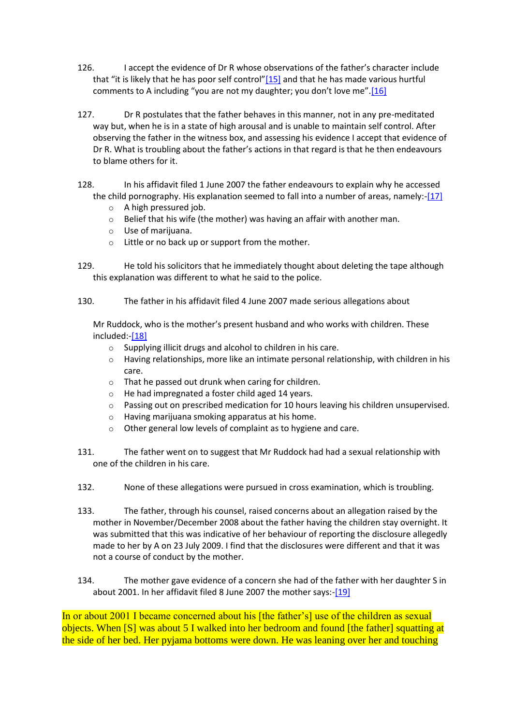- 126. I accept the evidence of Dr R whose observations of the father's character include that "it is likely that he has poor self control" $[15]$  and that he has made various hurtful comments to A including "you are not my daughter; you don't love me".[\[16\]](http://www.austlii.edu.au/cgi-bin/viewdoc/au/cases/cth/FamCA/2010/35.html?context=1;query=robins%20ruddock;mask_path=#fn16)
- 127. Dr R postulates that the father behaves in this manner, not in any pre-meditated way but, when he is in a state of high arousal and is unable to maintain self control. After observing the father in the witness box, and assessing his evidence I accept that evidence of Dr R. What is troubling about the father's actions in that regard is that he then endeavours to blame others for it.
- 128. In his affidavit filed 1 June 2007 the father endeavours to explain why he accessed the child pornography. His explanation seemed to fall into a number of areas, namely:[-\[17\]](http://www.austlii.edu.au/cgi-bin/viewdoc/au/cases/cth/FamCA/2010/35.html?context=1;query=robins%20ruddock;mask_path=#fn17)
	- A high pressured job.
	- o Belief that his wife (the mother) was having an affair with another man.
	- o Use of marijuana.
	- o Little or no back up or support from the mother.
- 129. He told his solicitors that he immediately thought about deleting the tape although this explanation was different to what he said to the police.
- 130. The father in his affidavit filed 4 June 2007 made serious allegations about

Mr Ruddock, who is the mother's present husband and who works with children. These included:[-\[18\]](http://www.austlii.edu.au/cgi-bin/viewdoc/au/cases/cth/FamCA/2010/35.html?context=1;query=robins%20ruddock;mask_path=#fn18)

- o Supplying illicit drugs and alcohol to children in his care.
- $\circ$  Having relationships, more like an intimate personal relationship, with children in his care.
- o That he passed out drunk when caring for children.
- o He had impregnated a foster child aged 14 years.
- $\circ$  Passing out on prescribed medication for 10 hours leaving his children unsupervised.
- o Having marijuana smoking apparatus at his home.
- o Other general low levels of complaint as to hygiene and care.
- 131. The father went on to suggest that Mr Ruddock had had a sexual relationship with one of the children in his care.
- 132. None of these allegations were pursued in cross examination, which is troubling.
- 133. The father, through his counsel, raised concerns about an allegation raised by the mother in November/December 2008 about the father having the children stay overnight. It was submitted that this was indicative of her behaviour of reporting the disclosure allegedly made to her by A on 23 July 2009. I find that the disclosures were different and that it was not a course of conduct by the mother.
- 134. The mother gave evidence of a concern she had of the father with her daughter S in about 2001. In her affidavit filed 8 June 2007 the mother says:[-\[19\]](http://www.austlii.edu.au/cgi-bin/viewdoc/au/cases/cth/FamCA/2010/35.html?context=1;query=robins%20ruddock;mask_path=#fn19)

In or about 2001 I became concerned about his [the father's] use of the children as sexual objects. When [S] was about 5 I walked into her bedroom and found [the father] squatting at the side of her bed. Her pyjama bottoms were down. He was leaning over her and touching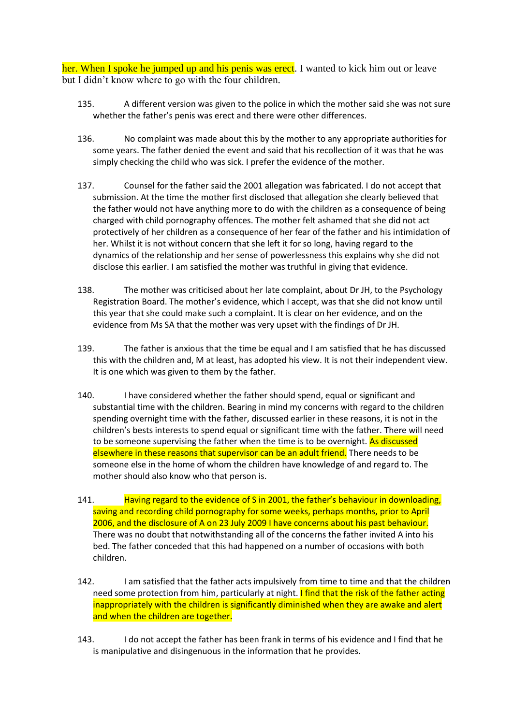her. When I spoke he jumped up and his penis was erect. I wanted to kick him out or leave but I didn't know where to go with the four children.

- 135. A different version was given to the police in which the mother said she was not sure whether the father's penis was erect and there were other differences.
- 136. No complaint was made about this by the mother to any appropriate authorities for some years. The father denied the event and said that his recollection of it was that he was simply checking the child who was sick. I prefer the evidence of the mother.
- 137. Counsel for the father said the 2001 allegation was fabricated. I do not accept that submission. At the time the mother first disclosed that allegation she clearly believed that the father would not have anything more to do with the children as a consequence of being charged with child pornography offences. The mother felt ashamed that she did not act protectively of her children as a consequence of her fear of the father and his intimidation of her. Whilst it is not without concern that she left it for so long, having regard to the dynamics of the relationship and her sense of powerlessness this explains why she did not disclose this earlier. I am satisfied the mother was truthful in giving that evidence.
- 138. The mother was criticised about her late complaint, about Dr JH, to the Psychology Registration Board. The mother's evidence, which I accept, was that she did not know until this year that she could make such a complaint. It is clear on her evidence, and on the evidence from Ms SA that the mother was very upset with the findings of Dr JH.
- 139. The father is anxious that the time be equal and I am satisfied that he has discussed this with the children and, M at least, has adopted his view. It is not their independent view. It is one which was given to them by the father.
- 140. I have considered whether the father should spend, equal or significant and substantial time with the children. Bearing in mind my concerns with regard to the children spending overnight time with the father, discussed earlier in these reasons, it is not in the children's bests interests to spend equal or significant time with the father. There will need to be someone supervising the father when the time is to be overnight. As discussed elsewhere in these reasons that supervisor can be an adult friend. There needs to be someone else in the home of whom the children have knowledge of and regard to. The mother should also know who that person is.
- 141. Having regard to the evidence of S in 2001, the father's behaviour in downloading, saving and recording child pornography for some weeks, perhaps months, prior to April 2006, and the disclosure of A on 23 July 2009 I have concerns about his past behaviour. There was no doubt that notwithstanding all of the concerns the father invited A into his bed. The father conceded that this had happened on a number of occasions with both children.
- 142. I am satisfied that the father acts impulsively from time to time and that the children need some protection from him, particularly at night. I find that the risk of the father acting inappropriately with the children is significantly diminished when they are awake and alert and when the children are together.
- 143. I do not accept the father has been frank in terms of his evidence and I find that he is manipulative and disingenuous in the information that he provides.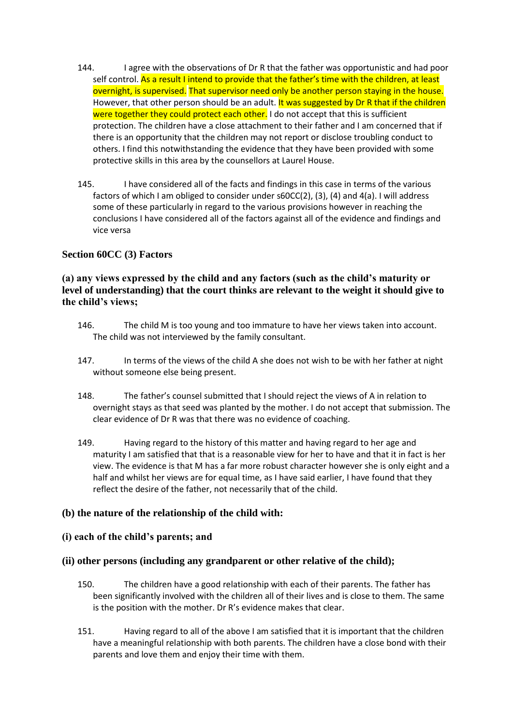- 144. I agree with the observations of Dr R that the father was opportunistic and had poor self control. As a result I intend to provide that the father's time with the children, at least overnight, is supervised. That supervisor need only be another person staying in the house. However, that other person should be an adult. It was suggested by Dr R that if the children were together they could protect each other. I do not accept that this is sufficient protection. The children have a close attachment to their father and I am concerned that if there is an opportunity that the children may not report or disclose troubling conduct to others. I find this notwithstanding the evidence that they have been provided with some protective skills in this area by the counsellors at Laurel House.
- 145. I have considered all of the facts and findings in this case in terms of the various factors of which I am obliged to consider under s60CC(2), (3), (4) and 4(a). I will address some of these particularly in regard to the various provisions however in reaching the conclusions I have considered all of the factors against all of the evidence and findings and vice versa

## **Section 60CC (3) Factors**

## **(a) any views expressed by the child and any factors (such as the child's maturity or level of understanding) that the court thinks are relevant to the weight it should give to the child's views;**

- 146. The child M is too young and too immature to have her views taken into account. The child was not interviewed by the family consultant.
- 147. In terms of the views of the child A she does not wish to be with her father at night without someone else being present.
- 148. The father's counsel submitted that I should reject the views of A in relation to overnight stays as that seed was planted by the mother. I do not accept that submission. The clear evidence of Dr R was that there was no evidence of coaching.
- 149. Having regard to the history of this matter and having regard to her age and maturity I am satisfied that that is a reasonable view for her to have and that it in fact is her view. The evidence is that M has a far more robust character however she is only eight and a half and whilst her views are for equal time, as I have said earlier, I have found that they reflect the desire of the father, not necessarily that of the child.

## **(b) the nature of the relationship of the child with:**

#### **(i) each of the child's parents; and**

## **(ii) other persons (including any grandparent or other relative of the child);**

- 150. The children have a good relationship with each of their parents. The father has been significantly involved with the children all of their lives and is close to them. The same is the position with the mother. Dr R's evidence makes that clear.
- 151. Having regard to all of the above I am satisfied that it is important that the children have a meaningful relationship with both parents. The children have a close bond with their parents and love them and enjoy their time with them.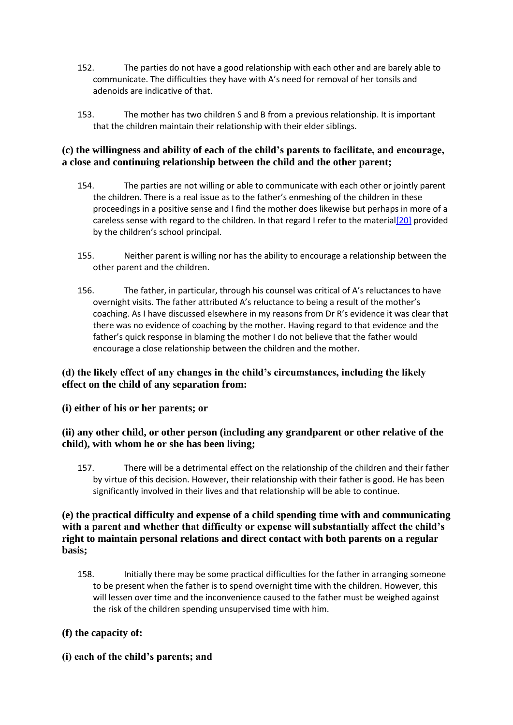- 152. The parties do not have a good relationship with each other and are barely able to communicate. The difficulties they have with A's need for removal of her tonsils and adenoids are indicative of that.
- 153. The mother has two children S and B from a previous relationship. It is important that the children maintain their relationship with their elder siblings.

## **(c) the willingness and ability of each of the child's parents to facilitate, and encourage, a close and continuing relationship between the child and the other parent;**

- 154. The parties are not willing or able to communicate with each other or jointly parent the children. There is a real issue as to the father's enmeshing of the children in these proceedings in a positive sense and I find the mother does likewise but perhaps in more of a careless sense with regard to the children. In that regard I refer to the materi[al\[20\]](http://www.austlii.edu.au/cgi-bin/viewdoc/au/cases/cth/FamCA/2010/35.html?context=1;query=robins%20ruddock;mask_path=#fn20) provided by the children's school principal.
- 155. Neither parent is willing nor has the ability to encourage a relationship between the other parent and the children.
- 156. The father, in particular, through his counsel was critical of A's reluctances to have overnight visits. The father attributed A's reluctance to being a result of the mother's coaching. As I have discussed elsewhere in my reasons from Dr R's evidence it was clear that there was no evidence of coaching by the mother. Having regard to that evidence and the father's quick response in blaming the mother I do not believe that the father would encourage a close relationship between the children and the mother.

# **(d) the likely effect of any changes in the child's circumstances, including the likely effect on the child of any separation from:**

## **(i) either of his or her parents; or**

## **(ii) any other child, or other person (including any grandparent or other relative of the child), with whom he or she has been living;**

157. There will be a detrimental effect on the relationship of the children and their father by virtue of this decision. However, their relationship with their father is good. He has been significantly involved in their lives and that relationship will be able to continue.

## **(e) the practical difficulty and expense of a child spending time with and communicating with a parent and whether that difficulty or expense will substantially affect the child's right to maintain personal relations and direct contact with both parents on a regular basis;**

158. Initially there may be some practical difficulties for the father in arranging someone to be present when the father is to spend overnight time with the children. However, this will lessen over time and the inconvenience caused to the father must be weighed against the risk of the children spending unsupervised time with him.

## **(f) the capacity of:**

**(i) each of the child's parents; and**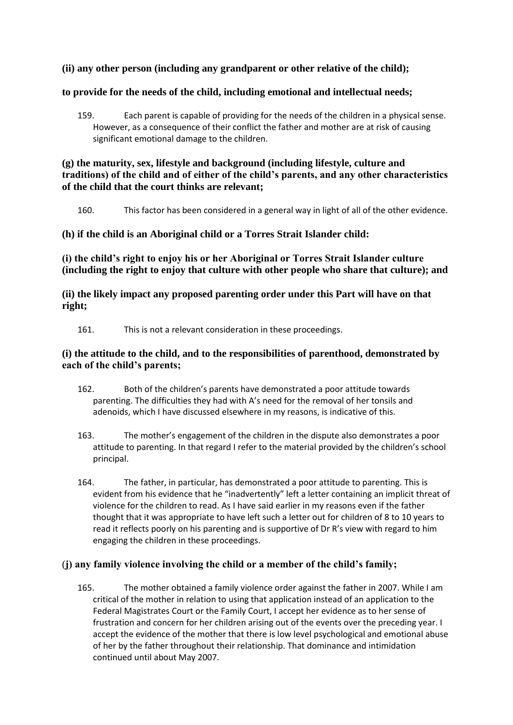## **(ii) any other person (including any grandparent or other relative of the child);**

## **to provide for the needs of the child, including emotional and intellectual needs;**

159. Each parent is capable of providing for the needs of the children in a physical sense. However, as a consequence of their conflict the father and mother are at risk of causing significant emotional damage to the children.

## **(g) the maturity, sex, lifestyle and background (including lifestyle, culture and traditions) of the child and of either of the child's parents, and any other characteristics of the child that the court thinks are relevant;**

160. This factor has been considered in a general way in light of all of the other evidence.

## **(h) if the child is an Aboriginal child or a Torres Strait Islander child:**

**(i) the child's right to enjoy his or her Aboriginal or Torres Strait Islander culture (including the right to enjoy that culture with other people who share that culture); and** 

**(ii) the likely impact any proposed parenting order under this Part will have on that right;** 

161. This is not a relevant consideration in these proceedings.

## **(i) the attitude to the child, and to the responsibilities of parenthood, demonstrated by each of the child's parents;**

- 162. Both of the children's parents have demonstrated a poor attitude towards parenting. The difficulties they had with A's need for the removal of her tonsils and adenoids, which I have discussed elsewhere in my reasons, is indicative of this.
- 163. The mother's engagement of the children in the dispute also demonstrates a poor attitude to parenting. In that regard I refer to the material provided by the children's school principal.
- 164. The father, in particular, has demonstrated a poor attitude to parenting. This is evident from his evidence that he "inadvertently" left a letter containing an implicit threat of violence for the children to read. As I have said earlier in my reasons even if the father thought that it was appropriate to have left such a letter out for children of 8 to 10 years to read it reflects poorly on his parenting and is supportive of Dr R's view with regard to him engaging the children in these proceedings.

## (**j) any family violence involving the child or a member of the child's family;**

165. The mother obtained a family violence order against the father in 2007. While I am critical of the mother in relation to using that application instead of an application to the Federal Magistrates Court or the Family Court, I accept her evidence as to her sense of frustration and concern for her children arising out of the events over the preceding year. I accept the evidence of the mother that there is low level psychological and emotional abuse of her by the father throughout their relationship. That dominance and intimidation continued until about May 2007.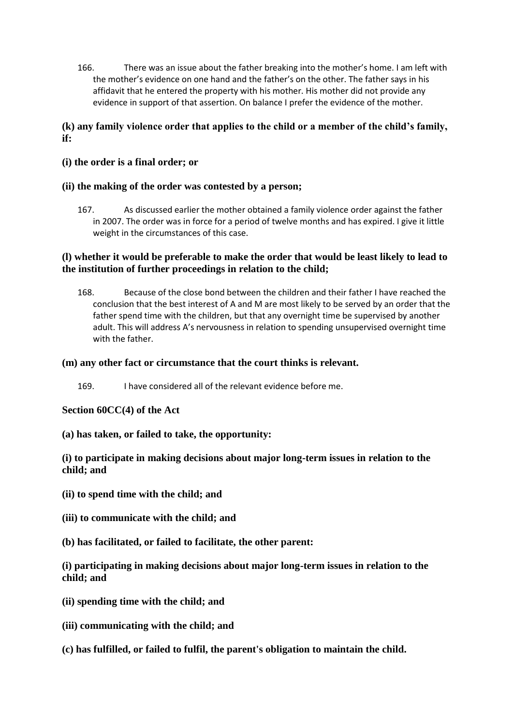166. There was an issue about the father breaking into the mother's home. I am left with the mother's evidence on one hand and the father's on the other. The father says in his affidavit that he entered the property with his mother. His mother did not provide any evidence in support of that assertion. On balance I prefer the evidence of the mother.

## **(k) any family violence order that applies to the child or a member of the child's family, if:**

**(i) the order is a final order; or** 

## **(ii) the making of the order was contested by a person;**

167. As discussed earlier the mother obtained a family violence order against the father in 2007. The order was in force for a period of twelve months and has expired. I give it little weight in the circumstances of this case.

## **(l) whether it would be preferable to make the order that would be least likely to lead to the institution of further proceedings in relation to the child;**

168. Because of the close bond between the children and their father I have reached the conclusion that the best interest of A and M are most likely to be served by an order that the father spend time with the children, but that any overnight time be supervised by another adult. This will address A's nervousness in relation to spending unsupervised overnight time with the father.

## **(m) any other fact or circumstance that the court thinks is relevant.**

169. I have considered all of the relevant evidence before me.

## **Section 60CC(4) of the Act**

**(a) has taken, or failed to take, the opportunity:** 

## **(i) to participate in making decisions about major long-term issues in relation to the child; and**

- **(ii) to spend time with the child; and**
- **(iii) to communicate with the child; and**
- **(b) has facilitated, or failed to facilitate, the other parent:**

**(i) participating in making decisions about major long-term issues in relation to the child; and** 

- **(ii) spending time with the child; and**
- **(iii) communicating with the child; and**
- **(c) has fulfilled, or failed to fulfil, the parent's obligation to maintain the child.**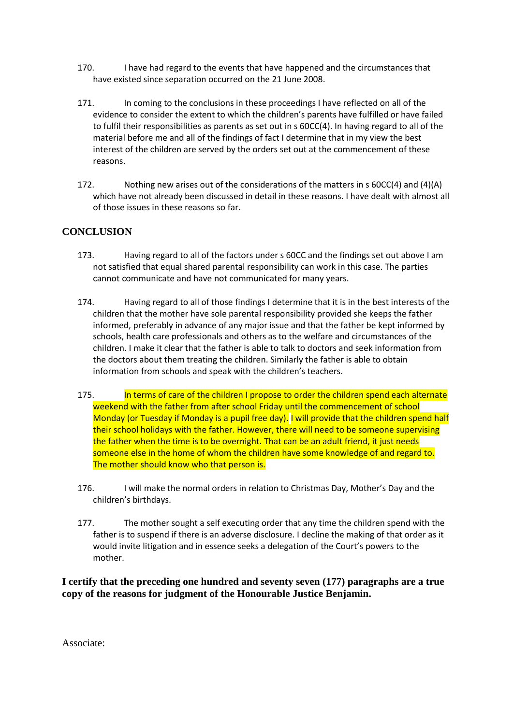- 170. I have had regard to the events that have happened and the circumstances that have existed since separation occurred on the 21 June 2008.
- 171. In coming to the conclusions in these proceedings I have reflected on all of the evidence to consider the extent to which the children's parents have fulfilled or have failed to fulfil their responsibilities as parents as set out in s 60CC(4). In having regard to all of the material before me and all of the findings of fact I determine that in my view the best interest of the children are served by the orders set out at the commencement of these reasons.
- 172. Nothing new arises out of the considerations of the matters in s 60CC(4) and (4)(A) which have not already been discussed in detail in these reasons. I have dealt with almost all of those issues in these reasons so far.

## **CONCLUSION**

- 173. Having regard to all of the factors under s 60CC and the findings set out above I am not satisfied that equal shared parental responsibility can work in this case. The parties cannot communicate and have not communicated for many years.
- 174. Having regard to all of those findings I determine that it is in the best interests of the children that the mother have sole parental responsibility provided she keeps the father informed, preferably in advance of any major issue and that the father be kept informed by schools, health care professionals and others as to the welfare and circumstances of the children. I make it clear that the father is able to talk to doctors and seek information from the doctors about them treating the children. Similarly the father is able to obtain information from schools and speak with the children's teachers.
- 175. In terms of care of the children I propose to order the children spend each alternate weekend with the father from after school Friday until the commencement of school Monday (or Tuesday if Monday is a pupil free day). I will provide that the children spend half their school holidays with the father. However, there will need to be someone supervising the father when the time is to be overnight. That can be an adult friend, it just needs someone else in the home of whom the children have some knowledge of and regard to. The mother should know who that person is.
- 176. I will make the normal orders in relation to Christmas Day, Mother's Day and the children's birthdays.
- 177. The mother sought a self executing order that any time the children spend with the father is to suspend if there is an adverse disclosure. I decline the making of that order as it would invite litigation and in essence seeks a delegation of the Court's powers to the mother.

**I certify that the preceding one hundred and seventy seven (177) paragraphs are a true copy of the reasons for judgment of the Honourable Justice Benjamin.** 

Associate: